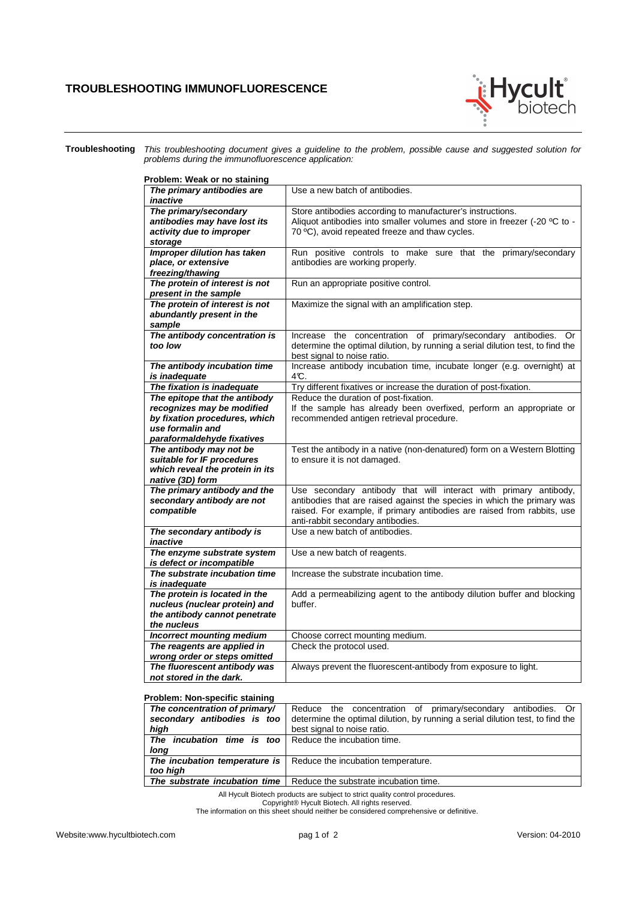## **TROUBLESHOOTING IMMUNOFLUORESCENCE**



**Troubleshooting** This troubleshooting document gives a guideline to the problem, possible cause and suggested solution for problems during the immunofluorescence application:

| Problem: Weak or no staining                                                                 |                                                                                                                                                                                           |
|----------------------------------------------------------------------------------------------|-------------------------------------------------------------------------------------------------------------------------------------------------------------------------------------------|
| The primary antibodies are<br>inactive                                                       | Use a new batch of antibodies.                                                                                                                                                            |
| The primary/secondary<br>antibodies may have lost its<br>activity due to improper<br>storage | Store antibodies according to manufacturer's instructions.<br>Aliquot antibodies into smaller volumes and store in freezer (-20 °C to -<br>70 °C), avoid repeated freeze and thaw cycles. |
| Improper dilution has taken<br>place, or extensive<br>freezing/thawing                       | Run positive controls to make sure that the primary/secondary<br>antibodies are working properly.                                                                                         |
| The protein of interest is not<br>present in the sample                                      | Run an appropriate positive control.                                                                                                                                                      |
| The protein of interest is not<br>abundantly present in the<br>sample                        | Maximize the signal with an amplification step.                                                                                                                                           |
| The antibody concentration is<br>too low                                                     | Increase the concentration of primary/secondary antibodies.<br>0r<br>determine the optimal dilution, by running a serial dilution test, to find the<br>best signal to noise ratio.        |
| The antibody incubation time<br>is inadequate                                                | Increase antibody incubation time, incubate longer (e.g. overnight) at<br>4°C.                                                                                                            |
| The fixation is inadequate                                                                   | Try different fixatives or increase the duration of post-fixation.                                                                                                                        |
| The epitope that the antibody                                                                | Reduce the duration of post-fixation.                                                                                                                                                     |
| recognizes may be modified                                                                   | If the sample has already been overfixed, perform an appropriate or                                                                                                                       |
| by fixation procedures, which                                                                | recommended antigen retrieval procedure.                                                                                                                                                  |
| use formalin and                                                                             |                                                                                                                                                                                           |
| paraformaldehyde fixatives                                                                   |                                                                                                                                                                                           |
| The antibody may not be                                                                      | Test the antibody in a native (non-denatured) form on a Western Blotting                                                                                                                  |
| suitable for IF procedures                                                                   | to ensure it is not damaged.                                                                                                                                                              |
| which reveal the protein in its                                                              |                                                                                                                                                                                           |
| native (3D) form                                                                             |                                                                                                                                                                                           |
| The primary antibody and the<br>secondary antibody are not                                   | Use secondary antibody that will interact with primary antibody,<br>antibodies that are raised against the species in which the primary was                                               |
| compatible                                                                                   | raised. For example, if primary antibodies are raised from rabbits, use                                                                                                                   |
|                                                                                              | anti-rabbit secondary antibodies.                                                                                                                                                         |
| The secondary antibody is                                                                    | Use a new batch of antibodies.                                                                                                                                                            |
| inactive                                                                                     |                                                                                                                                                                                           |
| The enzyme substrate system                                                                  | Use a new batch of reagents.                                                                                                                                                              |
| is defect or incompatible                                                                    |                                                                                                                                                                                           |
| The substrate incubation time                                                                | Increase the substrate incubation time.                                                                                                                                                   |
| is inadequate                                                                                |                                                                                                                                                                                           |
| The protein is located in the                                                                | Add a permeabilizing agent to the antibody dilution buffer and blocking                                                                                                                   |
| nucleus (nuclear protein) and                                                                | buffer.                                                                                                                                                                                   |
| the antibody cannot penetrate                                                                |                                                                                                                                                                                           |
| the nucleus                                                                                  |                                                                                                                                                                                           |
| <b>Incorrect mounting medium</b>                                                             | Choose correct mounting medium.                                                                                                                                                           |
| The reagents are applied in<br>wrong order or steps omitted                                  | Check the protocol used.                                                                                                                                                                  |
| The fluorescent antibody was                                                                 | Always prevent the fluorescent-antibody from exposure to light.                                                                                                                           |
| not stored in the dark.                                                                      |                                                                                                                                                                                           |

## **Problem: Non-specific staining**

| The concentration of primary/<br>secondary antibodies is too<br>high<br><b>The incubation time is too</b> Reduce the incubation time. | Reduce the concentration of primary/secondary antibodies. Or<br>determine the optimal dilution, by running a serial dilution test, to find the<br>best signal to noise ratio. |
|---------------------------------------------------------------------------------------------------------------------------------------|-------------------------------------------------------------------------------------------------------------------------------------------------------------------------------|
| long                                                                                                                                  |                                                                                                                                                                               |
| too high                                                                                                                              | <b>The incubation temperature is</b> $\vert$ Reduce the incubation temperature.                                                                                               |
| The substrate incubation time I                                                                                                       | Reduce the substrate incubation time.                                                                                                                                         |

All Hycult Biotech products are subject to strict quality control procedures. Copyright® Hycult Biotech. All rights reserved. The information on this sheet should neither be considered comprehensive or definitive.